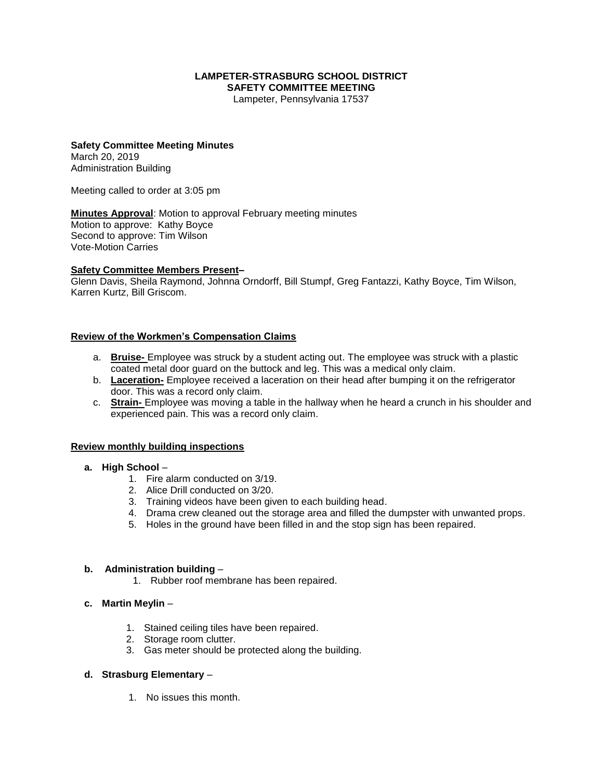#### **LAMPETER-STRASBURG SCHOOL DISTRICT SAFETY COMMITTEE MEETING**

Lampeter, Pennsylvania 17537

## **Safety Committee Meeting Minutes** March 20, 2019

Administration Building

Meeting called to order at 3:05 pm

**Minutes Approval**: Motion to approval February meeting minutes Motion to approve: Kathy Boyce Second to approve: Tim Wilson Vote-Motion Carries

## **Safety Committee Members Present–**

Glenn Davis, Sheila Raymond, Johnna Orndorff, Bill Stumpf, Greg Fantazzi, Kathy Boyce, Tim Wilson, Karren Kurtz, Bill Griscom.

## **Review of the Workmen's Compensation Claims**

- a. **Bruise-** Employee was struck by a student acting out. The employee was struck with a plastic coated metal door guard on the buttock and leg. This was a medical only claim.
- b. **Laceration-** Employee received a laceration on their head after bumping it on the refrigerator door. This was a record only claim.
- c. **Strain-** Employee was moving a table in the hallway when he heard a crunch in his shoulder and experienced pain. This was a record only claim.

#### **Review monthly building inspections**

- **a. High School**
	- 1. Fire alarm conducted on 3/19.
	- 2. Alice Drill conducted on 3/20.
	- 3. Training videos have been given to each building head.
	- 4. Drama crew cleaned out the storage area and filled the dumpster with unwanted props.
	- 5. Holes in the ground have been filled in and the stop sign has been repaired.

#### **b. Administration building** –

1. Rubber roof membrane has been repaired.

## **c. Martin Meylin** –

- 1. Stained ceiling tiles have been repaired.
- 2. Storage room clutter.
- 3. Gas meter should be protected along the building.

## **d. Strasburg Elementary** –

1. No issues this month.